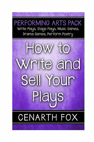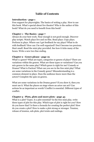## **Table of Contents**

## **Introduction - page 1**

Free support for playwrights. The basics of writing a play. How to use this book. What's special about live theatre? Who is the author of this book? What do you need to benefit from this book?

## **Chapter 1 - The Basics - page 7**

Always do your best work. Near enough is not good enough. Discover play scripts. Watch plays live and on film. Read plays. Copy plays. Perform in plays. Where can I get feedback for my plays? What to do with feedback? How can I be well organized? Don't become too precious. Start small. Read the mini play provided. See how it ticks many of the boxes. Write a new two-line ending.

## **Chapter 2 - Genre please - page 19**

What's a genre? What are types, categories or genres of plays? There are variations within the genres. What are these types or variations? Can you mix genres in the same play? Which genre is right for me? Comedy or Drama? What is Faction? What can you see in the free mini play? What are some variations in the Comedy genre? Misunderstanding is a common element in plays. Does the audience know more than the actors? Complete the quiz on genres.

What are some variations in the Drama genre? If you show it, then you must use it. What the places on stage where an actor can act? Can actions be as important as words? Conflict is essential. Different types of conflict.

## **Chapter 3 - Plots, plots and more plots - page 43**

What is a plot? Types. Is a plot essential? In the free mini play, write three types of plot for this play. Which type of plot is right for you? How do you know that? Is there a formula for creating the perfect plot? How do you create a plot? How to make a plot strong or stronger. Tension, release of tension, sub-plots, plot twists and endings.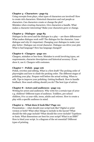## **Chapter 4 - Characters - page 63**

Using excerpts from plays, what types of characters are involved? How to create rich characters. Historical characters and real people as characters. Can characters create or change the plot? Mistakes when creating characters. Give characters a handle. What makes a character interesting? Make your characters grow or change.

## **Chapter 5 - Dialogue - page 85**

Dialogue in the novel and the dialogue in a play -- are there differences? What makes dialogue work well? The dialogue for the character. Lean dialogue and why it's important. Changing your dialogue to make your play better. Dialogue can reveal character. Dialogue can drive your plot. What is bad language? How has language changed?

## **Chapter 6 - Clangers - page 101**

Clangers, mistakes or boo-boos. Mistakes to avoid involving typos, set requirements, character descriptions and historical accuracy. If you show it, use it. Clangers with costumes.

## **Chapter 7 - Polish - page 106**

Polish, rewrites and editing. What is a first draft? The pecking order of playwrights and how to climb the pecking order. The different stages of polishing your play. Prepare well before the actual writing. When to edit. Tips to improve your polishing. Getting feedback. How to handle feedback. How much editing should you do? The best type of advice.

## **Chapter 8 - Actors and audiences - page 115**

Writing for actors and audiences. Why write for a certain type of actor e.g. children? Different types of audience. Toddlers, pre-school children, 8 to 12-year-olds, teens, adults and retirees. How to create a play with a specific audience in mind.

## **Chapter 9 - What does it look like? Page 121**

Presentation -- what should your script look like? Digital or print version or both? What other things to include in the layout? What should the title page include? What should the cover include? Typefaces or fonts. What dimensions are best for your script? What is an ISBN" How to bind your script. Is a diagram of the set essential? Different types of printing.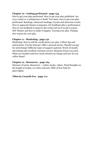## **Chapter 10 - Getting performed - page 134**

How to get your play performed. How to get your play published. Are you a writer or a salesperson or both? Two basic ways to get your play performed. Readings, rehearsed readings, tryouts and showcase events. How to approach theatre companies. Get feedback after a performance. How to use feedback to improve the script and use it to get a season. DIY Theatre and how to make it happen. Touring your play. Finding free venues for your play.

## **Chapter 11 - Marketing - page 152**

Marketing. How to tell the world about your play. Collect tips and instructions. Use the Internet. Offer a perusal service. Should you pay for advertising? Different types of support material. Word-of-mouth advertising and excellent customer service. Business forms you need. What are royalties and how much should you charge and how do you collect them?

## **Chapter 12 - Resources - page 164**

Glossary of terms. Resources -- online, books, videos. Final thoughts on the length of scripts, on critics and sets. Offer of free help for playwrights.

## **Titles by Cenarth Fox - page 172**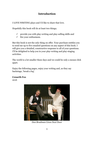# **Introduction**

I LOVE WRITING plays and I'd like to share that love.

Hopefully this book will do at least two things;

- $\checkmark$  provide you with play-writing and play-selling skills and
- $\checkmark$  fire your enthusiasm.

But this book is not the only thing on offer. Your purchase entitles you to send me up to five emailed questions on any aspect of this book. I will give you a detailed, constructive response to all of your questions. I'll be delighted to help you in your play-writing and play-staging activities.

The world is a lot smaller these days and we could be only a mouse click apart.

Enjoy the following pages, enjoy your writing and, as they say backstage, 'break a leg'.

# **Cenarth Fox**

2016



*Don Bradman Lives Next Door*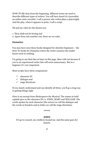NOW TO BE clear from the beginning, different terms are used to describe different types of writers. You will have heard of a journalist, an author and a novelist. I call a person who writes plays a playwright. And the play, when it appears in print, I call a script.

Oh and my rules for the theatre are:

- 1. Thou shalt not be boring and
- 2. Apart from rule number one, there are no rules.

## **Dummies**

You may have seen those books designed for absolute beginners – the How-To books for Dummies where the writer assumes the reader knows next-to nothing.

I'm going to use that idea at least on this page. Bear with me because if you're an experienced writer this will seem unnecessary. But to a beginner it's very important.

Most scripts have three components:

- $\checkmark$  character ID
- $\checkmark$  dialogue and
- $\checkmark$  stage directions

If you clearly understand and can identify all three, you'll go a long way to getting things right.

Here is an excerpt from *Shakespeare the Musical*. The names in bold capitals give us the character ID i.e. JOHN, MARY and WILLIAM. The words spoken by each character (the actors) we call the dialogue and the words in brackets and in italics we call the stage directions.

#### **\*\*\*\*\***

## **JOHN**

If I go to council, my creditors hound me. And the same goes for church.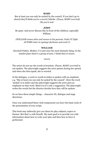#### **MARY**

But at least you can only be sacked by the council. If you don't go to church they'll think you're a secret Catholic. *(Pause, MARY worried)* Oh you're not!

#### **JOHN**

Be quiet. And never discuss this in front of the children, especially William.

*(WILLIAM comes alive and moves to his parents. Fade UC light. ACTORS enter in upstage darkness and wait C)* 

#### **WILLIAM**

*(Excited)* Father, Mother, I've just seen the most fantastic thing. In the market place there's a group of men. I think they're actors.

**\*\*\*\*\*** 

The actors do not say the words in brackets. *(Pause, MARY worried)* is not spoken. The playwright suggests the actor pauses during her speech and when she does speak, she is worried.

In the dialogue, a word or words in italics is spoken with an emphasis e.g. "But at least you can only be sacked by the council". Here the word 'sacked' is in italics and the playwright suggests the actor puts an emphasis on that word. Mind you it's only a suggestion. The playwright writes the words but the director decides how they will be spoken.

So we have three simple things – character ID, dialogue and stage directions.

Once you understand these vital components you have the basic tools of the presentation of your script.

This book may indirectly give you ideas for play subjects, topics or themes. But that's a side benefit. My main goal is to provide you with information about how to write your play and then how to have it performed.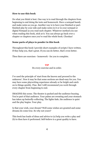## **How to use this book**

Do what you think is best. One way is to read through the chapters from beginning to end doing the tests and homework. Have a notepad handy and make notes as you go. Another way is to have your finished or partfinished play by your side and make notes in it or in your notepad or digital Notepad as you read each chapter. Whatever method you use when reading this book, stick at it. You can always go back over a chapter or chapters once you've read the whole book. Chookas!

## **Some parts of plays to ponder in this book**

Throughout this book I provide short examples of scripts I have written. If they help you, that's great. If you can do better, that's even better.

Then there are exercises - homework - for you to complete.

#### **TIP**

Do every exercise and in order.

I've used the principle of 'start from the known and proceed to the unknown'. Now it may be that some sections are dead-easy for you. You may have some playwriting experience already or be bright and catch on to things quickly. Fine. But I still recommend you work through every chapter from beginning to end.

IMAGINE this scene. The theatre is packed and the audience buzzing. You're part of that audience. Your palms are sweating and your stomach has taken up butterfly-collecting. The lights fade, the audience is quiet and the play begins. Your play.

Is that your wish, your dream? Well some wishes are granted and some dreams do come true. So why not yours?

This book has loads of ideas and advice to (a) help you write a play and (b) to then have it performed. Self-believe is a great quality to have.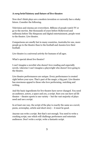## **A** *very* **brief history and future of live theatre**

Now don't think plays are a modern invention or currently face a shaky future. Consider the following.

Television and cinema are everywhere. Billions of people watch TV or go to the movies. But thousands of years before Hollywood and millennia before The Simpsons and digital entertainment, people went to the theatre. Live theatre.

Comparisons are smelly but in many countries, Australia for one, more people go to the theatre than to the football and Aussies love their football.

Live theatre is a universal activity for humans of all ages.

What's special about live theatre?

I can't imagine a novelist who doesn't love reading and especially novels. Likewise I can't imagine a playwright who doesn't love going to the theatre.

Live theatre performances are unique. Every performance is created right before your eyes. That's part of the magic; a big part. Live theatre has enormous appeal to those who love performing, watching and writing.

And the basic ingredients for live theatre have never changed. You need an audience, actors, a space and yes, a script. Sure you can have ad lib theatre – theatre sports is one variety – but the vast majority of plays need and use a script.

In at least one way, the script of the play is exactly the same as a novel, poem, screenplay, article and short-story – it must be good.

Anyone can write a script. But that's not enough. You need to write a cracking script, one which will challenge performers and entertain audiences. Don't write a script, write a fantastic script.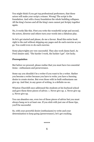You might think if you get top professional performers, that these actors will make your script a winner. Wrong! The script is the foundation. And with a lousy foundation the whole building collapses. All the king's horses and all the king's men cannot put Scripty together again.

No, it works like this. First you write the wonderful script and second, the actors, director and others turn your words into a fabulous play.

So let's get started and please, do me a favour. Read this entire book right to the end without skipping any pages and do each exercise as you go. You could even re-do each exercise.

Some playwrights are very successful. They also work damn hard. As Fred Astaire said, "The harder I work, the luckier I get". Get lucky.

## **Prerequisites**

But before we proceed, please realise that you must have two essential items - enthusiasm and perseverance.

Some say you shouldn't be a writer if you want to be a writer. Rather you become a writer because you have to write; you have a burning desire to create stories. But even those with in-built enthusiasm can give up. And that, in any genre of writing, is a definite no-no.

Winston Churchill once addressed the students at his boyhood school and gave them three pieces of advice. 1. Never give up. 2. Never give up. 3. Never give up.

You can abandon one, even two of those pieces of advice but you must always hang on to at least one. If you stick with just one of those tips, you'll be successful.

So, with your powerful desire (enthusiasm) to write and your determination to keep going (perseverance), let's get cracking.

**\*\*\*\*\***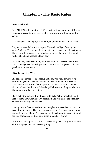# **Chapter 1 - The Basic Rules**

## **Best work only**

LET ME BE frank from the off. It's a waste of time and money if I help you create a script unless the script is your best work. Remember the saying.

*It's easy to write a play; it's writing a good one that can be tricky.* 

Playwrights can fall into the trap of 'The script will get fixed by the actors'. Wrong. The script will be rejected and never reach the actors, or the script will be savaged by the actors or worse, far worse, the script will go ahead and become a lousy play.

*Re-write* may well become thy middle name. Get the script right first. You know if you've done all you can to write a cracking script. Always produce your best work.

## **Dive In and Get Wet**

It's the same advice for all writing. Let's say you want to write for a certain magazine. Question. What's the first thing you do? Answer. Read several editions of that magazine. You want to write romance fiction. What's the first step? Get the guidelines from the publisher and then read several of their titles.

It's exactly the same with writing scripts. What's the first step? Read lots of them. Your local library, bookshop and web pages are excellent sources for finding plays to read.

Then go to the theatre. And not just one play or one style of play or one type of performance. Theatre is everywhere and there are many types of plays. Go and see them. Professional theatres abound in large cities and touring companies visit regional areas. Go and see shows.

"But I don't like opera." Go and see everything. "But I only want to write children's plays." Go and see everything.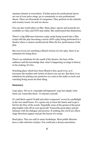Amateur theatre is everywhere. If ticket prices for professional shows are out of your price-range, go to community or non-professional shows. There are thousands of companies. They perform in the suburbs and country towns. Go and see shows.

You can also watch plays on film. Many plays, operas and musicals are available on video and DVD and online. But understand this distinction.

There's a big difference between a play script being turned into a film script with the play becoming a movie AND a play being performed in a theatre where a camera unobtrusively films the live performance of the play.

But even if you are watching a filmed version of a live play, there is no substitute for being there.

There's no substitute for the smell of the theatre, the buzz of the audience and the knowledge that, what is happening on stage is history in the making. It's live.

Watching plays which have been filmed is fine, good even, as it increases the number and variety of shows you can see. But there is no substitute for putting your posterior on a seat in the stalls or circle and watching living actors do their thing.

## **Summary**

Copy plays. Not as in 'copyright infringement' copy but simply write them out, transcribe them - to educate yourself.

It's said Bach copied Vivaldi and other composers' scores by candlelight in the wee small hours. It's a great way to learn the basics and to get a feel for the flow of the words. Hopefully some of the genius of the great playwrights rubs off on your good self. Transcribe great plays and get intimate with the dialogue and process. If nothing else you'll see where stage directions appear and get the layout of a script.

Read plays. They are sold in many bookshops. Most public libraries have a wide selection of plays. You could join a drama association.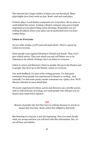The internet has a huge number of plays you can download. Many playwrights have their work on-line. Read, read and read plays.

Perform plays. Local theatre companies are everywhere. Be an actor or work behind the scenes. Joining a theatre company may prove hugely important as your playwriting career develops. Remember you are looking for places where your plays can be performed once you have written them.

## **Listen to Everyone**

As you write scripts, you'll want and need advice. Here's a great tip. Listen to everyone.

Some people warn against listening to friends and family. They won't give critical advice. They care about you and will flatter you or be reluctant to be critical. Perhaps, but I say listen to everyone.

Listen to actors and directors; listen to people who go to the theatre and to people who don't go to the theatre. Listen to everyone.

You need feedback, it's part of the writing process. I've had great comments from people not experienced in theatre or writing. And naturally I've had some pretty caustic comments too. Quite a few. We'll discuss criticism in more detail later.

Of course experienced writers, actors and directors are a terrific source. And as with all forms of writing, you want people who will give you an honest and constructive opinion.

#### **TIP**

Beware of people who feel they have to criticise because to not do so means they lose face. Some critics feel obliged to find fault.

But listening to everyone is just the beginning. Now you must decide what you accept and how you will deal with this information. See, it's not all beer and skittles.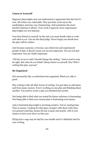## **Listen to Yourself**

Beginner playwrights may not understand or appreciate this fact but it's true. All writers are vulnerable. They put their work out in the marketplace and may cop a hammering. And sometimes the most hurtful criticism is silence. Your work is ignored. Even experienced playwrights are not immune.

Your best friend is yourself. In the end, you must decide what to write and what to cut. You are the final judge. Never forget you decide how the play will be written.

Just because someone, everyone, says otherwise and experienced people at that, it doesn't mean you are not important. You are not just important. You are vitally important.

"Oh but so-an-so said I should change the ending." And so-and-so may be right. But what do you think? Always listen to yourself. Hey! Who's writing this play, anyway?

## **Be Organized**

Not necessarily tidy or meticulous but organized. Mind you, tidy is good.

Play writing is like all other forms of writing. You get ideas at odd times and from many sources. You're working on one play and thinking about another. You need to revise a play you finished last month.

Not being able to find what you noted for future reference is frustrating. Not being able to find your current play is frustrating even lunacy.

And a frustrated playwright is not being creative. You're wasting time. Time is money. Looking for that piece of paper with those witty lines you penned yesterday means the day is gone and maybe, with it your chance to have your show on this year.

Flying into a rage may be bad for your health and it's definitely bad for your writing.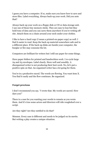I guess you have a computer. If so, make sure you know how to save and store files. Label everything. Always back-up your work. Did you note that?

Always back-up your work on a floppy disk or CD or data storage unit. I use one of those tiny memory sticks. They are easy to lose but they hold tons of data and you can carry them anywhere if you're writing offsite. Attach them on a chain around your neck under your clothes.

I like to have a hard copy (I mean a printed-on-paper copy) as well. I find it easier to read. Keep the back-up material somewhere safe and in a different place. If the back-up disks are beside your computer, the burglar or fire may consume the lot.

Computers are brilliant for writers but I still use paper for some things.

Have paper folders for printed and handwritten work. I re-cycle large A4 and A3 envelopes. Label clearly. Store well and sensibly. A disorganized writer is not producing their best work. No, let's put a positive spin on that. An organized writer has a lot going for them.

You're in a productive mood. The words are flowing. You want item X. You find it easily and the flow continues. Be organized.

## **Forget precious**

I don't recommend you say, "I wrote that. My words are sacred. How dare you!"

There is a case for you wanting your words to remain as you wrote them. And it's true some actors and directors will ride roughshod over a script.

Are they right? Are they entitled to do that?

Mmmm. Every case is different and needs to be judged on its merits. But writing a play creates a unique situation.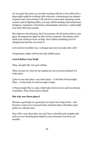It's not quite the same as a novelist working with his or her editor but a playwright might be working with a director, a dramaturge (an adapter of plays) and a cast of actors. Oh and if you want some stunning sound, scenery and/or lighting effect, you may well be dealing with technicians, designers, carpenters, electricians, dressmakers and more. A playwright may deal with many people.

But whatever the situation, don't be precious. By all means stick to your guns. Be prepared to fight for that word or sentence. But please, don't think your writing is from on high. Don't think something can't be changed just because you wrote it.

Let's look at it another way. A change may turn your play into a hit!

Compromise might well become thy middle name.

## **Crawl Before You Walk**

Okay, enough talk. Let's get writing.

Well, not just yet. First let me explain my not-so-secret method. It's write short.

I plan to use mini plays, very short plays – I call them Pennyweight Plays – in this book, as well as longer scripts.

A Pennyweight Play is a play which takes between two and ten minutes to perform. That's from start to finish.

## **But why use these plays?**

Because a good play is a good play no matter how long it lasts - and because I want you to succeed today and short plays will make many points in a shorter time.

Sure with a very short play you can't have a detailed and complex plot and you can't develop great depth in your characters but there are benefits.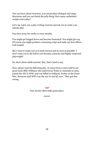You can learn about structure, you can produce dialogue and stage directions and you can finish the jolly thing! How many unfinished scripts exist today?

Let's say I give you a play-writing exercise and ask you to write a 90 minute play.

You slave away for weeks or even months.

You might get bogged down and become frustrated. You might give up. Of course you might produce a stunning script and make my best efforts look insipid.

But I want to make sure you taste success and as soon as possible. I don't want you to die before you become a famous and highly-respected playwright!

So, short shows shall succeed. Hey, that's hard to say.

Now, please read the following play. It comes from a story told by my great uncle Billy Williams who sailed from Wales to Australia in 1905, joined the AIF in WW1 and was killed at Gallipoli, Turkey in the Great War. Someone said WW1 was the war to end all wars. They got that wrong.

#### **TIP**

True stories often make great plays.

**\*\*\*\*\***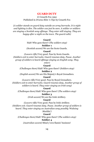#### **GUARD DUTY**

© Cenarth Fox 1992 Published in *Drama Skits 'n Tips* by Cenarth Fox

*(A soldier stands on guard duty outside an army barracks. It is night and lighting is dim. The soldier can just be seen. A soldier or soldiers are singing a Scottish song offstage. They enter still singing. They are happy after a night on the town. The guard calls)* 

#### **Guard**

Halt! Who goes there? *(The soldiers stop)*

#### **Soldier 1**

*(Scottish accent)* We are the Scots Guards.

#### **Guard**

*(Lowers rifle)* Very good. Pass by Scots Guards.

*(Soldiers exit to enter barracks. Guard resumes duty. Pause. Another* 

*group of soldiers is heard offstage singing an English song. They* 

*enter)* 

#### **Guard**

*(Challenges them)* Halt! Who goes there? *(Soldiers stop)*

#### **Soldier 2**

*(English accent)* We are His Majesty's Royal Grenadiers.

#### **Guard**

*(Lowers rifle)* Very good. Pass by Royal Grenadiers. *(Soldiers exit to enter barracks. Guard resumes duty. Another group of* 

*soldiers is heard. They enter singing an Irish song)* 

#### **Guard**

*(Challenges them)* Halt! Who goes there? *(The soldiers stop)* 

#### **Soldier 3**

*(Irish accent)* We are the Irish Artillery.

#### **Guard**

*(Lowers rifle)* Very good. Pass by Irish Artillery.

*(Soldiers exit. Guard resumes duty. Pause. Another group of soldiers is* 

*heard. They enter singing an Australian song possibly 'Waltzing* 

#### *Matilda')*

#### **Guard**

*(Challenges them)* Halt! Who goes there? *(The soldiers stop)* **Soldier 4** 

*(Australian accent)* Mind y'own flamin' business!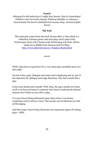## **Guard**

*(Resigned to this behaviour)* I might have known. Pass by Australians! *(Soldiers enter barracks singing 'Waltzing Matilda' or whatever. Guard shakes his head in disbelief and resumes duty. Curtain/Lights down)* 

## **The End**

This mini play comes from the book *Drama Skits 'n Tips* which is a collection of drama games and mini plays and is part of the Performance Pack of five books in the Performing Arts Pack. All five books are available from Amazon and Fox Plays. http://www.labyrinth.net.au/~foxplays/Books.html

**\*\*\*\*\*** 

NOW, what have we got here? It's a very short play; probably more of a skit really.

Yes but it has a plot, dialogue and action and a beginning and an end. It has character ID, dialogue and stage directions. Hey that sounds like a play.

It has some drama and comedy. Well, okay, the tag is maybe not funny at all or at least not funny to someone who doesn't understand national humour but I think we can call it a play.

I've seen *Guard Duty* performed many times when I run drama workshops and it's always a hoot. The accents can be hilarious as is the ad lib singing.

And this script, *Guard Duty*, illustrates one important aspect of writing plays - KISS.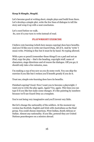## **Keep It Simple, Stupid.**

Let's become good at writing short, simple plays and build from there. Let's develop a simple plot, write the few lines of dialogue to tell the story and wrap it up with a neat conclusion.

Let's crawl before we walk. So, now it's your turn to write instead of read.

## **PLAYWRIGHT EXERCISE**

I believe rote learning (which here means copying) does have benefits. And yes I'd like you to write out *Guard Duty*. All of it. And by 'write' I mean write. Printing is fine but it must be by hand. No typing allowed.

With a pen or pencil (remember those things?) on a pad and not an iPad, copy the play – that's the heading, copyright stuff, name of characters, stage directions and of course the dialogue. Off you go; it should only take a few minutes, max.

I'm making a cup of tea now as you do some work. You can skip the exercise if you like but I reckon you'll benefit greatly if you do it.

Trust me; simple rote-learning does have its benefits.

Finished copying? Good. Now I want you to become a playwright. I want you to write the play again. Again? Yes, again. This time you can type it if you like but make some changes. It's like painting by numbers because we'll use Guard Duty as a template.

You're not being very imaginative and you'll invent very little.

But let's change the nationality of the soldiers. At the moment my version has Scottish, English and Irish with Australians as the final group. You could choose American, West Indian, South African or Italian. Almost any nationality. If you like, pretend they are United Nations peacekeepers on a mission abroad.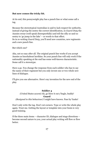## **But now comes the tricky bit.**

At its end, this pennyweight play has a punch line or what some call a tag.

Because the stereotypical Australian is said to lack respect for authority, instead of giving the sentry the correct identification, in *Guard Duty* the Aussies swear (well speak disrespectfully) and tell the silly so-and-so sentry to 'go jump in the lake' – or words to that effect. So in re-writing *Guard Duty*, you'll need new countries, new regiments and a new punch line.

## But which one?

Aha, not so easy after all. The original punch line works if you accept Aussies as knockabout larrikins. So your punch line will only work if the nationality speaking at the end has some well-known characteristic. Some call it a stereotype.

Have a go. You change the response from each soldier who has to say the name of their regiment but you only invent one or two whole new lines of dialogue.

I'll give you one alternative. Here's my invention for the new end of the play.

#### **Soldier 4**

# *(United States accent)* Ah, go blow it out y'bugle, buddy! **Guard**

*(Resigned to this behaviour)* I might have known. Pass by Yanks!

Don't only write the tag. Don't cut corners. Type or write the whole play again. Trust me. Getting the layout or template into your brain is very good training.

If the three main items – character ID, dialogue and stage directions – become second nature to you, your actual play writing will flow or flow better.